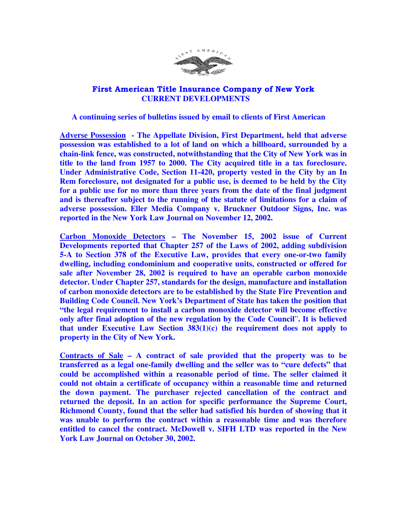

## First American Title Insurance Company of New York  **CURRENT DEVELOPMENTS**

## **A continuing series of bulletins issued by email to clients of First American**

**Adverse Possession - The Appellate Division, First Department, held that adverse possession was established to a lot of land on which a billboard, surrounded by a chain-link fence, was constructed, notwithstanding that the City of New York was in title to the land from 1957 to 2000. The City acquired title in a tax foreclosure. Under Administrative Code, Section 11-420, property vested in the City by an In Rem foreclosure, not designated for a public use, is deemed to be held by the City for a public use for no more than three years from the date of the final judgment and is thereafter subject to the running of the statute of limitations for a claim of adverse possession. Eller Media Company v. Bruckner Outdoor Signs, Inc. was reported in the New York Law Journal on November 12, 2002.** 

**Carbon Monoxide Detectors – The November 15, 2002 issue of Current Developments reported that Chapter 257 of the Laws of 2002, adding subdivision 5-A to Section 378 of the Executive Law, provides that every one-or-two family dwelling, including condominium and cooperative units, constructed or offered for sale after November 28, 2002 is required to have an operable carbon monoxide detector. Under Chapter 257, standards for the design, manufacture and installation of carbon monoxide detectors are to be established by the State Fire Prevention and Building Code Council. New York's Department of State has taken the position that "the legal requirement to install a carbon monoxide detector will become effective only after final adoption of the new regulation by the Code Council**"**. It is believed that under Executive Law Section 383(1)(c) the requirement does not apply to property in the City of New York.** 

**Contracts of Sale – A contract of sale provided that the property was to be transferred as a legal one-family dwelling and the seller was to "cure defects" that could be accomplished within a reasonable period of time. The seller claimed it could not obtain a certificate of occupancy within a reasonable time and returned the down payment. The purchaser rejected cancellation of the contract and returned the deposit. In an action for specific performance the Supreme Court, Richmond County, found that the seller had satisfied his burden of showing that it was unable to perform the contract within a reasonable time and was therefore entitled to cancel the contract. McDowell v. SIFH LTD was reported in the New York Law Journal on October 30, 2002.**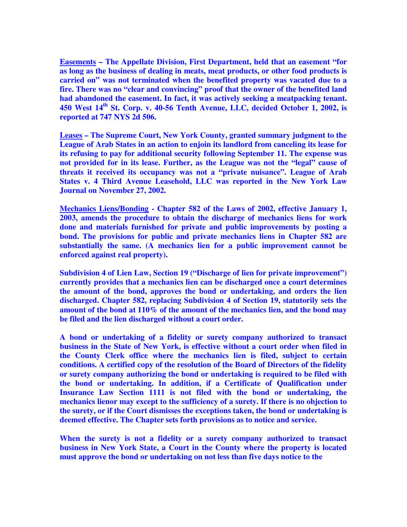**Easements – The Appellate Division, First Department, held that an easement "for as long as the business of dealing in meats, meat products, or other food products is carried on" was not terminated when the benefited property was vacated due to a fire. There was no "clear and convincing" proof that the owner of the benefited land had abandoned the easement. In fact, it was actively seeking a meatpacking tenant. 450 West 14th St. Corp. v. 40-56 Tenth Avenue, LLC, decided October 1, 2002, is reported at 747 NYS 2d 506.** 

**Leases – The Supreme Court, New York County, granted summary judgment to the League of Arab States in an action to enjoin its landlord from canceling its lease for its refusing to pay for additional security following September 11. The expense was not provided for in its lease. Further, as the League was not the "legal" cause of threats it received its occupancy was not a "private nuisance". League of Arab States v. 4 Third Avenue Leasehold, LLC was reported in the New York Law Journal on November 27, 2002.** 

**Mechanics Liens/Bonding - Chapter 582 of the Laws of 2002, effective January 1, 2003, amends the procedure to obtain the discharge of mechanics liens for work done and materials furnished for private and public improvements by posting a bond. The provisions for public and private mechanics liens in Chapter 582 are substantially the same. (A mechanics lien for a public improvement cannot be enforced against real property).**

**Subdivision 4 of Lien Law, Section 19 ("Discharge of lien for private improvement") currently provides that a mechanics lien can be discharged once a court determines the amount of the bond, approves the bond or undertaking, and orders the lien discharged. Chapter 582, replacing Subdivision 4 of Section 19, statutorily sets the amount of the bond at 110% of the amount of the mechanics lien, and the bond may be filed and the lien discharged without a court order.** 

**A bond or undertaking of a fidelity or surety company authorized to transact business in the State of New York, is effective without a court order when filed in the County Clerk office where the mechanics lien is filed, subject to certain conditions. A certified copy of the resolution of the Board of Directors of the fidelity or surety company authorizing the bond or undertaking is required to be filed with the bond or undertaking. In addition, if a Certificate of Qualification under Insurance Law Section 1111 is not filed with the bond or undertaking, the mechanics lienor may except to the sufficiency of a surety. If there is no objection to the surety, or if the Court dismisses the exceptions taken, the bond or undertaking is deemed effective. The Chapter sets forth provisions as to notice and service.** 

**When the surety is not a fidelity or a surety company authorized to transact business in New York State, a Court in the County where the property is located must approve the bond or undertaking on not less than five days notice to the**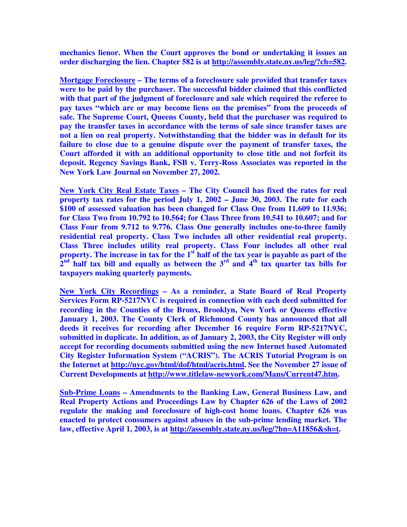**mechanics lienor. When the Court approves the bond or undertaking it issues an order discharging the lien. Chapter 582 is at http://assembly.state.ny.us/leg/?ch=582.** 

**Mortgage Foreclosure – The terms of a foreclosure sale provided that transfer taxes were to be paid by the purchaser. The successful bidder claimed that this conflicted with that part of the judgment of foreclosure and sale which required the referee to pay taxes "which are or may become liens on the premises" from the proceeds of sale. The Supreme Court, Queens County, held that the purchaser was required to pay the transfer taxes in accordance with the terms of sale since transfer taxes are not a lien on real property. Notwithstanding that the bidder was in default for its failure to close due to a genuine dispute over the payment of transfer taxes, the Court afforded it with an additional opportunity to close title and not forfeit its deposit. Regency Savings Bank, FSB v. Terry-Ross Associates was reported in the New York Law Journal on November 27, 2002.** 

**New York City Real Estate Taxes – The City Council has fixed the rates for real property tax rates for the period July 1, 2002 – June 30, 2003. The rate for each \$100 of assessed valuation has been changed for Class One from 11.609 to 11.936; for Class Two from 10.792 to 10.564; for Class Three from 10.541 to 10.607; and for Class Four from 9.712 to 9.776. Class One generally includes one-to-three family residential real property. Class Two includes all other residential real property. Class Three includes utility real property. Class Four includes all other real property. The increase in tax for the 1st half of the tax year is payable as part of the**   $2<sup>nd</sup>$  half tax bill and equally as between the  $3<sup>rd</sup>$  and  $4<sup>th</sup>$  tax quarter tax bills for **taxpayers making quarterly payments.** 

**New York City Recordings – As a reminder, a State Board of Real Property Services Form RP-5217NYC is required in connection with each deed submitted for recording in the Counties of the Bronx, Brooklyn, New York or Queens effective January 1, 2003. The County Clerk of Richmond County has announced that all deeds it receives for recording after December 16 require Form RP-5217NYC, submitted in duplicate. In addition, as of January 2, 2003, the City Register will only accept for recording documents submitted using the new Internet based Automated City Register Information System ("ACRIS"). The ACRIS Tutorial Program is on the Internet at http://nyc.gov/html/dof/html/acris.html. See the November 27 issue of Current Developments at http://www.titlelaw-newyork.com/Mans/Current47.htm.** 

**Sub-Prime Loans – Amendments to the Banking Law, General Business Law, and Real Property Actions and Proceedings Law by Chapter 626 of the Laws of 2002 regulate the making and foreclosure of high-cost home loans. Chapter 626 was enacted to protect consumers against abuses in the sub-prime lending market. The law, effective April 1, 2003, is at http://assembly.state.ny.us/leg/?bn=A11856&sh=t.**